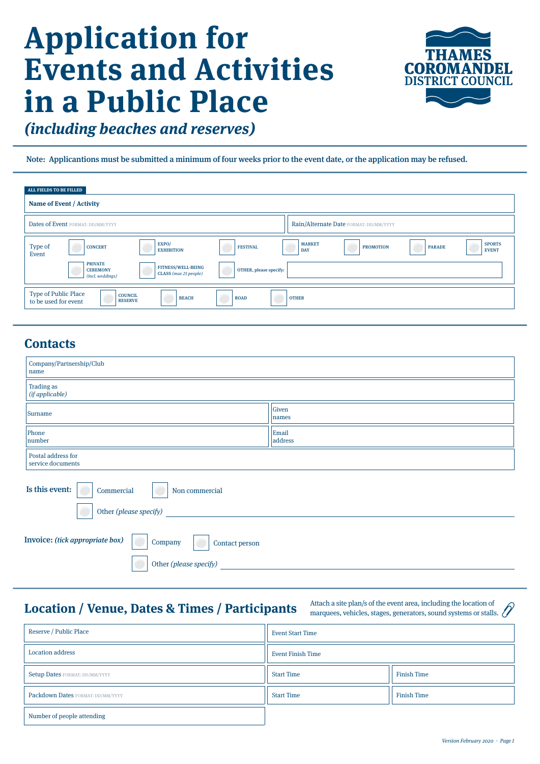# **Application for Events and Activities in a Public Place**



**(including beaches and reserves)**

Note: Applicantions must be submitted a minimum of four weeks prior to the event date, or the application may be refused.

| ALL FIELDS TO BE FILLED                             |                                                       |                                                    |                        |                             |                                        |               |                               |
|-----------------------------------------------------|-------------------------------------------------------|----------------------------------------------------|------------------------|-----------------------------|----------------------------------------|---------------|-------------------------------|
| Name of Event / Activity                            |                                                       |                                                    |                        |                             |                                        |               |                               |
|                                                     | Dates of Event FORMAT: DD/MM/YYYY                     |                                                    |                        |                             | Rain/Alternate Date FORMAT: DD/MM/YYYY |               |                               |
| Type of<br>Event                                    | <b>CONCERT</b>                                        | EXPO/<br><b>EXHIBITION</b>                         | <b>FESTIVAL</b>        | <b>MARKET</b><br><b>DAY</b> | <b>PROMOTION</b>                       | <b>PARADE</b> | <b>SPORTS</b><br><b>EVENT</b> |
|                                                     | <b>PRIVATE</b><br><b>CEREMONY</b><br>(incl. weddings) | <b>FITNESS/WELL-BEING</b><br>CLASS (max 25 people) | OTHER, please specify: |                             |                                        |               |                               |
| <b>Type of Public Place</b><br>to be used for event | <b>COUNCIL</b><br><b>RESERVE</b>                      | <b>BEACH</b>                                       | <b>ROAD</b>            | <b>OTHER</b>                |                                        |               |                               |

## **Contacts**

| Company/Partnership/Club<br>name                             |                  |  |  |  |  |
|--------------------------------------------------------------|------------------|--|--|--|--|
| <b>Trading as</b><br>(if applicable)                         |                  |  |  |  |  |
| Surname                                                      | Given<br>names   |  |  |  |  |
| Phone<br>number                                              | Email<br>address |  |  |  |  |
| Postal address for<br>service documents                      |                  |  |  |  |  |
| Is this event:<br>Commercial<br>Non commercial               |                  |  |  |  |  |
| Other (please specify)                                       |                  |  |  |  |  |
| Invoice: (tick appropriate box)<br>Company<br>Contact person |                  |  |  |  |  |
| Other (please specify)                                       |                  |  |  |  |  |

#### **Location / Venue, Dates & Times / Participants**

Attach a site plan/s of the event area, including the location of marquees, vehicles, stages, generators, sound systems or stalls.

| Reserve / Public Place                | <b>Event Start Time</b>                 |                    |  |
|---------------------------------------|-----------------------------------------|--------------------|--|
| <b>Location address</b>               | <b>Event Finish Time</b>                |                    |  |
| <b>Setup Dates FORMAT: DD/MM/YYYY</b> | <b>Start Time</b>                       | <b>Finish Time</b> |  |
| Packdown Dates FORMAT: DD/MM/YYYY     | <b>Finish Time</b><br><b>Start Time</b> |                    |  |
| Number of people attending            |                                         |                    |  |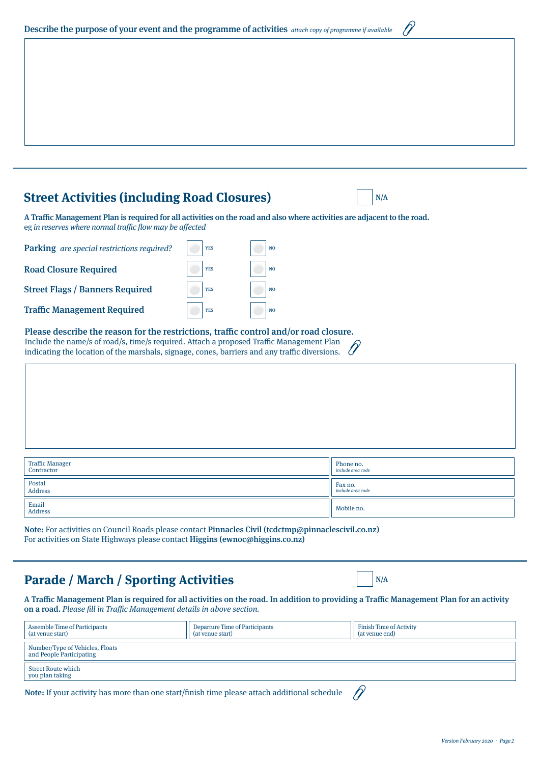| Version February 2020 - Page 2 |  |
|--------------------------------|--|

| Describe the purpose of your event and the programme of activities attach copy of programme if available |
|----------------------------------------------------------------------------------------------------------|
|----------------------------------------------------------------------------------------------------------|

#### **Street Activities (including Road Closures)**  $\left|\right|$  N/A

A Traffic Management Plan is required for all activities on the road and also where activities are adjacent to the road. eg in reserves where normal traffic flow may be affected

| Parking are special restrictions required? | <b>YES</b> | N <sub>O</sub> |
|--------------------------------------------|------------|----------------|
| <b>Road Closure Required</b>               | <b>YES</b> | N <sub>O</sub> |
| <b>Street Flags / Banners Required</b>     | <b>YES</b> | N <sub>O</sub> |
| <b>Traffic Management Required</b>         | <b>YES</b> | N()            |

Please describe the reason for the restrictions, traffic control and/or road closure. Include the name/s of road/s, time/s required. Attach a proposed Traffic Management Plan indicating the location of the marshals, signage, cones, barriers and any traffic diversions.

| Traffic Manager<br>Contractor | Phone no.<br>include area code |
|-------------------------------|--------------------------------|
| Postal<br>Address             | Fax no.<br>include area code   |
| Email<br>Address              | Mobile no.                     |

Note: For activities on Council Roads please contact Pinnacles Civil (tcdctmp@pinnaclescivil.co.nz) For activities on State Highways please contact Higgins (ewnoc@higgins.co.nz)

# **Parade / March / Sporting Activities**

A Traffic Management Plan is required for all activities on the road. In addition to providing a Traffic Management Plan for an activity on a road. Please fill in Traffic Management details in above section.

| <b>Assemble Time of Participants</b><br>(at yenue start)                                     | Departure Time of Participants<br>(at venue start) | <b>Finish Time of Activity</b><br>(at venue end) |  |  |  |
|----------------------------------------------------------------------------------------------|----------------------------------------------------|--------------------------------------------------|--|--|--|
| Number/Type of Vehicles, Floats<br>and People Participating                                  |                                                    |                                                  |  |  |  |
| <b>Street Route which</b><br>you plan taking                                                 |                                                    |                                                  |  |  |  |
| Note: If your activity has more than one start/finish time please attach additional schedule |                                                    |                                                  |  |  |  |

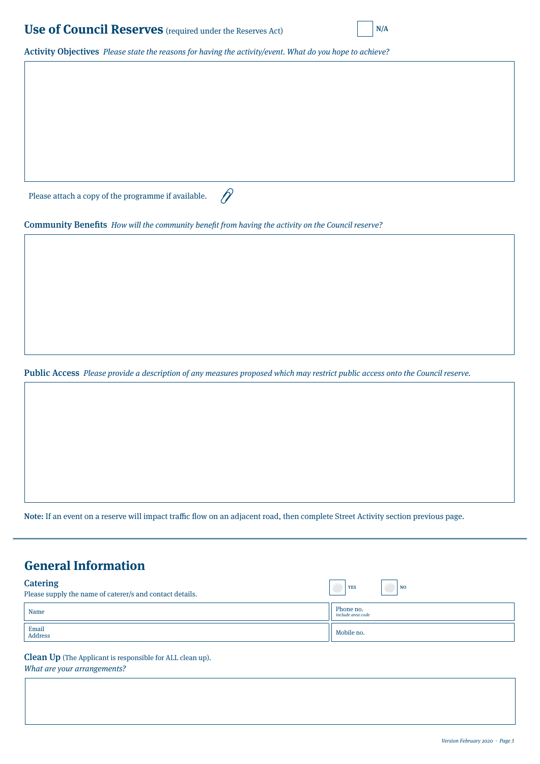#### **Use of Council Reserves** (required under the Reserves Act)  $N/A$



Activity Objectives Please state the reasons for having the activity/event. What do you hope to achieve?

Please attach a copy of the programme if available.

Community Benefits How will the community benefit from having the activity on the Council reserve?

 $\mathscr{D}$ 

Public Access Please provide a description of any measures proposed which may restrict public access onto the Council reserve.

Note: If an event on a reserve will impact traffic flow on an adjacent road, then complete Street Activity section previous page.

## **General Information**

| <b>Catering</b><br>Please supply the name of caterer/s and contact details. | <b>YES</b><br><b>NO</b>        |
|-----------------------------------------------------------------------------|--------------------------------|
| Name                                                                        | Phone no.<br>include area code |
| Email<br>Address                                                            | Mobile no.                     |

Clean Up (The Applicant is responsible for ALL clean up). What are your arrangements?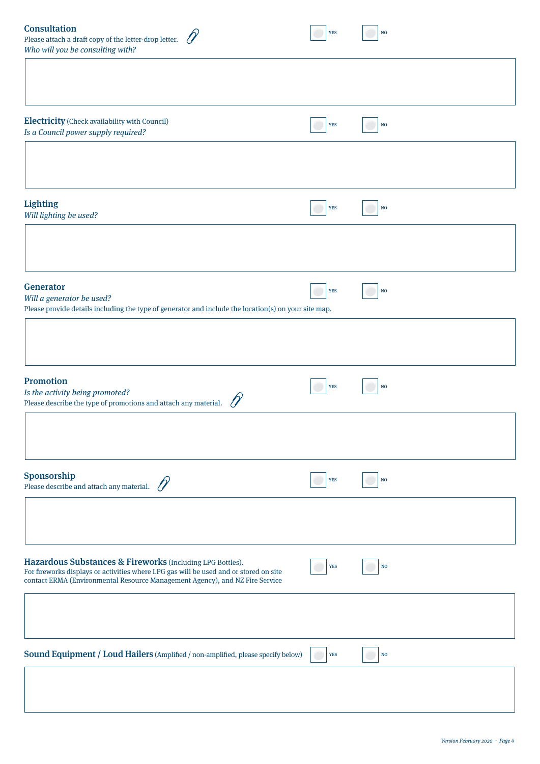| <b>Consultation</b><br>Please attach a draft copy of the letter-drop letter.<br>Who will you be consulting with?                                                                                                                   | <b>YES</b> | $\mathbf{NO}$ |  |
|------------------------------------------------------------------------------------------------------------------------------------------------------------------------------------------------------------------------------------|------------|---------------|--|
|                                                                                                                                                                                                                                    |            |               |  |
| <b>Electricity</b> (Check availability with Council)<br>Is a Council power supply required?                                                                                                                                        | <b>YES</b> | $\mathbf{NO}$ |  |
|                                                                                                                                                                                                                                    |            |               |  |
| <b>Lighting</b><br>Will lighting be used?                                                                                                                                                                                          | <b>YES</b> | NO            |  |
|                                                                                                                                                                                                                                    |            |               |  |
| Generator<br>Will a generator be used?<br>Please provide details including the type of generator and include the location(s) on your site map.                                                                                     | <b>YES</b> | NO            |  |
|                                                                                                                                                                                                                                    |            |               |  |
| Promotion<br>Is the activity being promoted?<br>Please describe the type of promotions and attach any material.                                                                                                                    | <b>YES</b> | $\bf NO$      |  |
|                                                                                                                                                                                                                                    |            |               |  |
| Sponsorship<br>Please describe and attach any material.                                                                                                                                                                            | <b>YES</b> | $\bf NO$      |  |
|                                                                                                                                                                                                                                    |            |               |  |
| Hazardous Substances & Fireworks (Including LPG Bottles).<br>For fireworks displays or activities where LPG gas will be used and or stored on site<br>contact ERMA (Environmental Resource Management Agency), and NZ Fire Service | <b>YES</b> | $\bf NO$      |  |
|                                                                                                                                                                                                                                    |            |               |  |
| Sound Equipment / Loud Hailers (Amplified / non-amplified, please specify below)                                                                                                                                                   | <b>YES</b> | $\mathbf{NO}$ |  |
|                                                                                                                                                                                                                                    |            |               |  |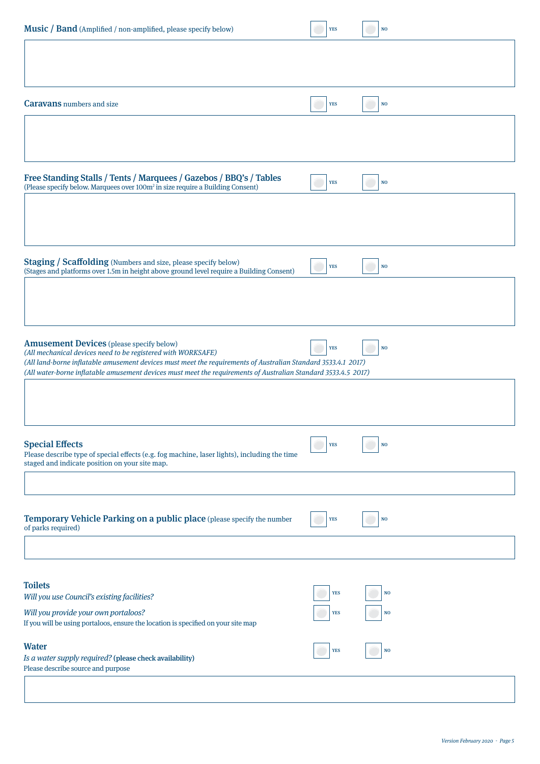| Music / Band (Amplified / non-amplified, please specify below)                                                                                                                | <b>YES</b> | N <sub>O</sub> |
|-------------------------------------------------------------------------------------------------------------------------------------------------------------------------------|------------|----------------|
|                                                                                                                                                                               |            |                |
|                                                                                                                                                                               |            |                |
| <b>Caravans</b> numbers and size                                                                                                                                              | <b>YES</b> | $\bf NO$       |
|                                                                                                                                                                               |            |                |
|                                                                                                                                                                               |            |                |
|                                                                                                                                                                               |            |                |
| Free Standing Stalls / Tents / Marquees / Gazebos / BBQ's / Tables<br>(Please specify below. Marquees over 100m <sup>2</sup> in size require a Building Consent)              | <b>YES</b> | $\bf NO$       |
|                                                                                                                                                                               |            |                |
|                                                                                                                                                                               |            |                |
|                                                                                                                                                                               |            |                |
| <b>Staging / Scaffolding</b> (Numbers and size, please specify below)<br>(Stages and platforms over 1.5m in height above ground level require a Building Consent)             | <b>YES</b> | $\bf NO$       |
|                                                                                                                                                                               |            |                |
|                                                                                                                                                                               |            |                |
| <b>Amusement Devices</b> (please specify below)                                                                                                                               |            |                |
| (All mechanical devices need to be registered with WORKSAFE)<br>(All land-borne inflatable amusement devices must meet the requirements of Australian Standard 3533.4.1 2017) | <b>YES</b> | <b>NO</b>      |
| (All water-borne inflatable amusement devices must meet the requirements of Australian Standard 3533.4.5 2017)                                                                |            |                |
|                                                                                                                                                                               |            |                |
|                                                                                                                                                                               |            |                |
| <b>Special Effects</b><br>Please describe type of special effects (e.g. fog machine, laser lights), including the time                                                        | <b>YES</b> | N <sub>O</sub> |
| staged and indicate position on your site map.                                                                                                                                |            |                |
|                                                                                                                                                                               |            |                |
| Temporary Vehicle Parking on a public place (please specify the number                                                                                                        | <b>YES</b> | N <sub>O</sub> |
| of parks required)                                                                                                                                                            |            |                |
|                                                                                                                                                                               |            |                |
| <b>Toilets</b>                                                                                                                                                                |            |                |
| Will you use Council's existing facilities?                                                                                                                                   | <b>YES</b> | N <sub>O</sub> |
| Will you provide your own portaloos?<br>If you will be using portaloos, ensure the location is specified on your site map                                                     | <b>YES</b> | NO             |
| <b>Water</b>                                                                                                                                                                  | <b>YES</b> | NO             |
| Is a water supply required? (please check availability)<br>Please describe source and purpose                                                                                 |            |                |
|                                                                                                                                                                               |            |                |
|                                                                                                                                                                               |            |                |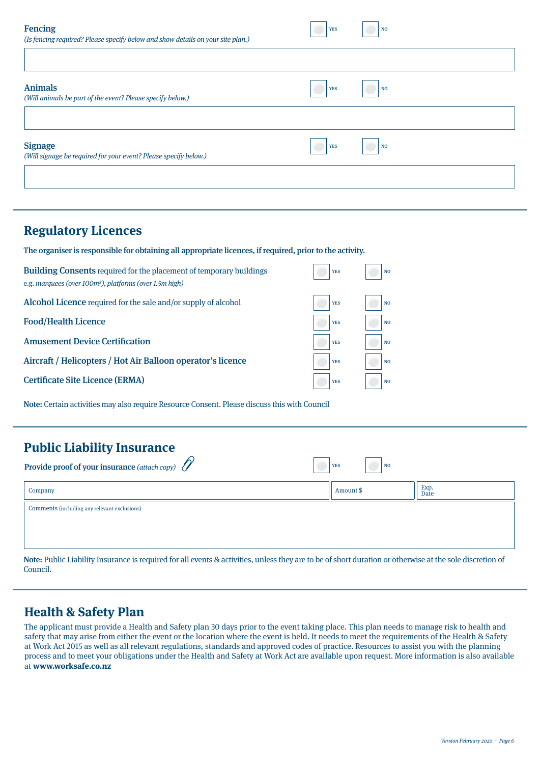| <b>Fencing</b><br>(Is fencing required? Please specify below and show details on your site plan.) | <b>YES</b> | NO <sub>1</sub> |
|---------------------------------------------------------------------------------------------------|------------|-----------------|
|                                                                                                   |            |                 |
| <b>Animals</b><br>(Will animals be part of the event? Please specify below.)                      | <b>YES</b> | N               |
|                                                                                                   |            |                 |
| <b>Signage</b><br>(Will signage be required for your event? Please specify below.)                | <b>YES</b> | NO              |
|                                                                                                   |            |                 |

#### **Regulatory Licences**

The organiser is responsible for obtaining all appropriate licences, if required, prior to the activity.

| <b>Building Consents</b> required for the placement of temporary buildings<br>e.g. marquees (over 100m <sup>2</sup> ), platforms (over 1.5m high) | <b>YES</b> | N <sub>O</sub> |
|---------------------------------------------------------------------------------------------------------------------------------------------------|------------|----------------|
| <b>Alcohol Licence</b> required for the sale and/or supply of alcohol                                                                             | <b>YES</b> | N <sub>O</sub> |
| <b>Food/Health Licence</b>                                                                                                                        | <b>YES</b> | N <sub>O</sub> |
| <b>Amusement Device Certification</b>                                                                                                             | <b>YES</b> | N <sub>O</sub> |
| Aircraft / Helicopters / Hot Air Balloon operator's licence                                                                                       | <b>YES</b> | N <sub>O</sub> |
| <b>Certificate Site Licence (ERMA)</b>                                                                                                            | <b>YES</b> | N <sub>O</sub> |

Note: Certain activities may also require Resource Consent. Please discuss this with Council

 $\sim$ 

| <b>Public Liability Insurance</b> |  |
|-----------------------------------|--|
|-----------------------------------|--|

| <b>Provide proof of your insurance</b> (attach copy) $\mathcal{U}$<br><b>YES</b><br><b>NO</b> |           |              |
|-----------------------------------------------------------------------------------------------|-----------|--------------|
| Company                                                                                       | Amount \$ | Exp.<br>Date |
| Comments (including any relevant exclusions)                                                  |           |              |
|                                                                                               |           |              |

Note: Public Liability Insurance is required for all events & activities, unless they are to be of short duration or otherwise at the sole discretion of Council.

#### **Health & Safety Plan**

The applicant must provide a Health and Safety plan 30 days prior to the event taking place. This plan needs to manage risk to health and safety that may arise from either the event or the location where the event is held. It needs to meet the requirements of the Health & Safety at Work Act 2015 as well as all relevant regulations, standards and approved codes of practice. Resources to assist you with the planning process and to meet your obligations under the Health and Safety at Work Act are available upon request. More information is also available at **www.worksafe.co.nz**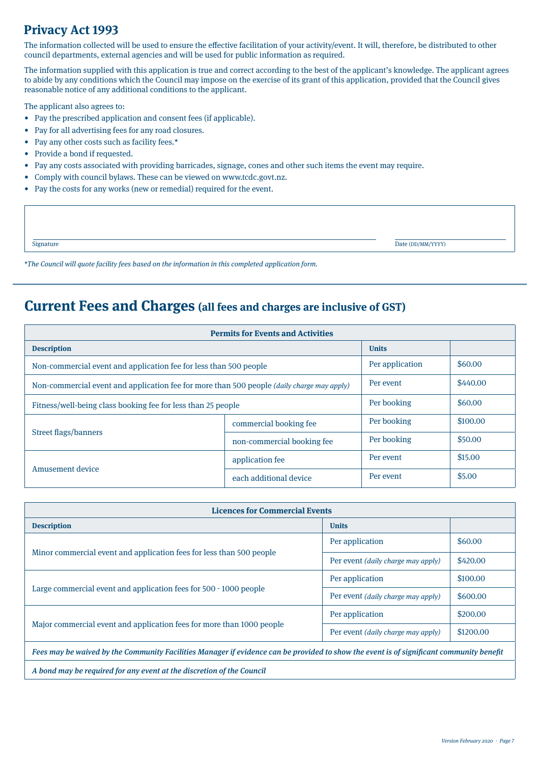## **Privacy Act 1993**

The information collected will be used to ensure the effective facilitation of your activity/event. It will, therefore, be distributed to other council departments, external agencies and will be used for public information as required.

The information supplied with this application is true and correct according to the best of the applicant's knowledge. The applicant agrees to abide by any conditions which the Council may impose on the exercise of its grant of this application, provided that the Council gives reasonable notice of any additional conditions to the applicant.

The applicant also agrees to:

- Pay the prescribed application and consent fees (if applicable).
- Pay for all advertising fees for any road closures.
- Pay any other costs such as facility fees.\*
- Provide a bond if requested.
- Pay any costs associated with providing barricades, signage, cones and other such items the event may require.
- Comply with council bylaws. These can be viewed on www.tcdc.govt.nz.
- Pay the costs for any works (new or remedial) required for the event.

| Signature | Date (DD/MM/YYYY) |
|-----------|-------------------|
|           |                   |

\*The Council will quote facility fees based on the information in this completed application form.

# **Current Fees and Charges (all fees and charges are inclusive of GST)**

| <b>Permits for Events and Activities</b>                                                          |                            |                 |          |
|---------------------------------------------------------------------------------------------------|----------------------------|-----------------|----------|
| <b>Description</b>                                                                                |                            | <b>Units</b>    |          |
| Non-commercial event and application fee for less than 500 people                                 |                            | Per application | \$60.00  |
| Non-commercial event and application fee for more than 500 people <i>(daily charge may apply)</i> |                            | Per event       | \$440.00 |
| Fitness/well-being class booking fee for less than 25 people                                      |                            | Per booking     | \$60.00  |
| Street flags/banners                                                                              | commercial booking fee     | Per booking     | \$100.00 |
|                                                                                                   | non-commercial booking fee | Per booking     | \$50.00  |
| Amusement device                                                                                  | application fee            | Per event       | \$15.00  |
|                                                                                                   | each additional device     | Per event       | \$5.00   |

| <b>Licences for Commercial Events</b>                                                                                                    |                                           |           |  |
|------------------------------------------------------------------------------------------------------------------------------------------|-------------------------------------------|-----------|--|
| <b>Description</b>                                                                                                                       | <b>Units</b>                              |           |  |
|                                                                                                                                          | Per application                           | \$60.00   |  |
| Minor commercial event and application fees for less than 500 people                                                                     | Per event <i>(daily charge may apply)</i> | \$420.00  |  |
|                                                                                                                                          | Per application                           | \$100.00  |  |
| Large commercial event and application fees for 500 - 1000 people                                                                        | Per event <i>(daily charge may apply)</i> | \$600.00  |  |
|                                                                                                                                          | Per application                           | \$200.00  |  |
| Major commercial event and application fees for more than 1000 people                                                                    | Per event (daily charge may apply)        | \$1200.00 |  |
| Fees may be waived by the Community Facilities Manager if evidence can be provided to show the event is of significant community benefit |                                           |           |  |
| A bond may be required for any event at the discretion of the Council                                                                    |                                           |           |  |